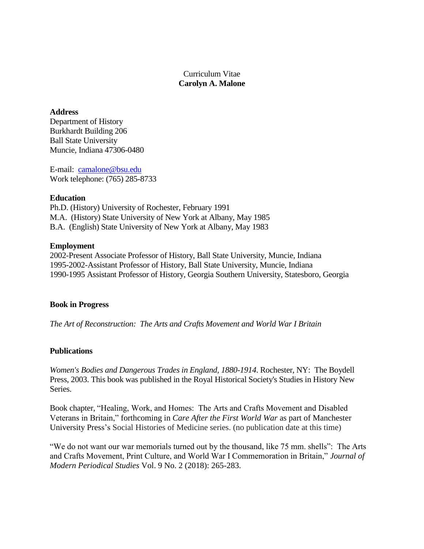Curriculum Vitae **Carolyn A. Malone**

## **Address**

Department of History Burkhardt Building 206 Ball State University Muncie, Indiana 47306-0480

E-mail: [camalone@bsu.edu](mailto:camalone@bsu.edu) Work telephone: (765) 285-8733

### **Education**

Ph.D. (History) University of Rochester, February 1991 M.A. (History) State University of New York at Albany, May 1985 B.A. (English) State University of New York at Albany, May 1983

# **Employment**

2002-Present Associate Professor of History, Ball State University, Muncie, Indiana 1995-2002-Assistant Professor of History, Ball State University, Muncie, Indiana 1990-1995 Assistant Professor of History, Georgia Southern University, Statesboro, Georgia

# **Book in Progress**

*The Art of Reconstruction: The Arts and Crafts Movement and World War I Britain*

# **Publications**

*Women's Bodies and Dangerous Trades in England, 1880-1914*. Rochester, NY: The Boydell Press, 2003. This book was published in the Royal Historical Society's Studies in History New Series.

Book chapter, "Healing, Work, and Homes: The Arts and Crafts Movement and Disabled Veterans in Britain," forthcoming in *Care After the First World War* as part of Manchester University Press's Social Histories of Medicine series. (no publication date at this time)

"We do not want our war memorials turned out by the thousand, like 75 mm. shells": The Arts and Crafts Movement, Print Culture, and World War I Commemoration in Britain," *Journal of Modern Periodical Studies* Vol. 9 No. 2 (2018): 265-283.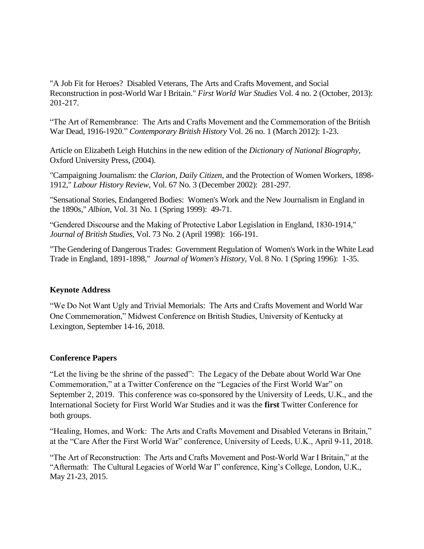"A Job Fit for Heroes? Disabled Veterans, The Arts and Crafts Movement, and Social Reconstruction in post-World War I Britain." *First World War Studies* Vol. 4 no. 2 (October, 2013): 201-217.

"The Art of Remembrance: The Arts and Crafts Movement and the Commemoration of the British War Dead, 1916-1920." *Contemporary British History* Vol. 26 no. 1 (March 2012): 1-23.

Article on Elizabeth Leigh Hutchins in the new edition of the *Dictionary of National Biography*, Oxford University Press, (2004).

"Campaigning Journalism: the *Clarion*, *Daily Citizen*, and the Protection of Women Workers, 1898- 1912," *Labour History Review*, Vol. 67 No. 3 (December 2002): 281-297.

"Sensational Stories, Endangered Bodies: Women's Work and the New Journalism in England in the 1890s," *Albion*, Vol. 31 No. 1 (Spring 1999): 49-71.

"Gendered Discourse and the Making of Protective Labor Legislation in England, 1830-1914," *Journal of British Studies*, Vol. 73 No. 2 (April 1998): 166-191.

"The Gendering of Dangerous Trades: Government Regulation of Women's Work in the White Lead Trade in England, 1891-1898," *Journal of Women's History*, Vol. 8 No. 1 (Spring 1996): 1-35.

# **Keynote Address**

"We Do Not Want Ugly and Trivial Memorials: The Arts and Crafts Movement and World War One Commemoration," Midwest Conference on British Studies, University of Kentucky at Lexington, September 14-16, 2018.

# **Conference Papers**

"Let the living be the shrine of the passed": The Legacy of the Debate about World War One Commemoration," at a Twitter Conference on the "Legacies of the First World War" on September 2, 2019. This conference was co-sponsored by the University of Leeds, U.K., and the International Society for First World War Studies and it was the **first** Twitter Conference for both groups.

"Healing, Homes, and Work: The Arts and Crafts Movement and Disabled Veterans in Britain," at the "Care After the First World War" conference, University of Leeds, U.K., April 9-11, 2018.

"The Art of Reconstruction: The Arts and Crafts Movement and Post-World War I Britain," at the "Aftermath: The Cultural Legacies of World War I" conference, King's College, London, U.K., May 21-23, 2015.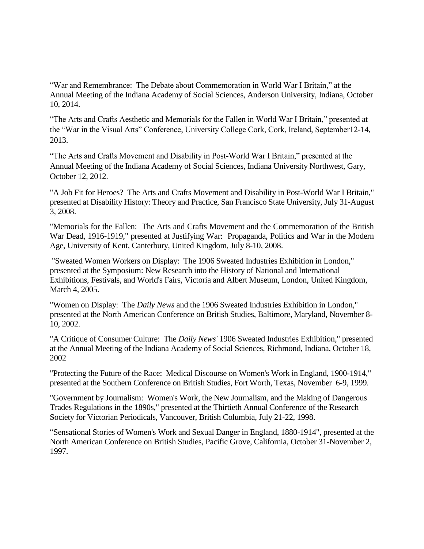"War and Remembrance: The Debate about Commemoration in World War I Britain," at the Annual Meeting of the Indiana Academy of Social Sciences, Anderson University, Indiana, October 10, 2014.

"The Arts and Crafts Aesthetic and Memorials for the Fallen in World War I Britain," presented at the "War in the Visual Arts" Conference, University College Cork, Cork, Ireland, September12-14, 2013.

"The Arts and Crafts Movement and Disability in Post-World War I Britain," presented at the Annual Meeting of the Indiana Academy of Social Sciences, Indiana University Northwest, Gary, October 12, 2012.

"A Job Fit for Heroes? The Arts and Crafts Movement and Disability in Post-World War I Britain," presented at Disability History: Theory and Practice, San Francisco State University, July 31-August 3, 2008.

"Memorials for the Fallen: The Arts and Crafts Movement and the Commemoration of the British War Dead, 1916-1919," presented at Justifying War: Propaganda, Politics and War in the Modern Age, University of Kent, Canterbury, United Kingdom, July 8-10, 2008.

"Sweated Women Workers on Display: The 1906 Sweated Industries Exhibition in London," presented at the Symposium: New Research into the History of National and International Exhibitions, Festivals, and World's Fairs, Victoria and Albert Museum, London, United Kingdom, March 4, 2005.

"Women on Display: The *Daily News* and the 1906 Sweated Industries Exhibition in London," presented at the North American Conference on British Studies, Baltimore, Maryland, November 8- 10, 2002.

"A Critique of Consumer Culture: The *Daily News'* 1906 Sweated Industries Exhibition," presented at the Annual Meeting of the Indiana Academy of Social Sciences, Richmond, Indiana, October 18, 2002

"Protecting the Future of the Race: Medical Discourse on Women's Work in England, 1900-1914," presented at the Southern Conference on British Studies, Fort Worth, Texas, November 6-9, 1999.

"Government by Journalism: Women's Work, the New Journalism, and the Making of Dangerous Trades Regulations in the 1890s," presented at the Thirtieth Annual Conference of the Research Society for Victorian Periodicals, Vancouver, British Columbia, July 21-22, 1998.

"Sensational Stories of Women's Work and Sexual Danger in England, 1880-1914", presented at the North American Conference on British Studies, Pacific Grove, California, October 31-November 2, 1997.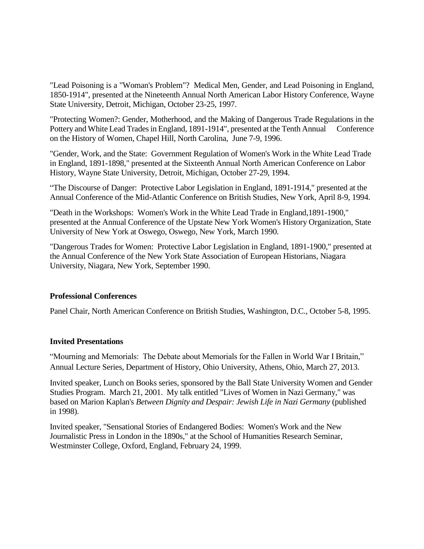"Lead Poisoning is a "Woman's Problem"? Medical Men, Gender, and Lead Poisoning in England, 1850-1914", presented at the Nineteenth Annual North American Labor History Conference, Wayne State University, Detroit, Michigan, October 23-25, 1997.

"Protecting Women?: Gender, Motherhood, and the Making of Dangerous Trade Regulations in the Pottery and White Lead Trades in England, 1891-1914", presented at the Tenth Annual Conference on the History of Women, Chapel Hill, North Carolina, June 7-9, 1996.

"Gender, Work, and the State: Government Regulation of Women's Work in the White Lead Trade in England, 1891-1898," presented at the Sixteenth Annual North American Conference on Labor History, Wayne State University, Detroit, Michigan, October 27-29, 1994.

"The Discourse of Danger: Protective Labor Legislation in England, 1891-1914," presented at the Annual Conference of the Mid-Atlantic Conference on British Studies, New York, April 8-9, 1994.

"Death in the Workshops: Women's Work in the White Lead Trade in England,1891-1900," presented at the Annual Conference of the Upstate New York Women's History Organization, State University of New York at Oswego, Oswego, New York, March 1990.

"Dangerous Trades for Women: Protective Labor Legislation in England, 1891-1900," presented at the Annual Conference of the New York State Association of European Historians, Niagara University, Niagara, New York, September 1990.

# **Professional Conferences**

Panel Chair, North American Conference on British Studies, Washington, D.C., October 5-8, 1995.

# **Invited Presentations**

"Mourning and Memorials: The Debate about Memorials for the Fallen in World War I Britain," Annual Lecture Series, Department of History, Ohio University, Athens, Ohio, March 27, 2013.

Invited speaker, Lunch on Books series, sponsored by the Ball State University Women and Gender Studies Program. March 21, 2001. My talk entitled "Lives of Women in Nazi Germany," was based on Marion Kaplan's *Between Dignity and Despair: Jewish Life in Nazi Germany* (published in 1998).

Invited speaker, "Sensational Stories of Endangered Bodies: Women's Work and the New Journalistic Press in London in the 1890s," at the School of Humanities Research Seminar, Westminster College, Oxford, England, February 24, 1999.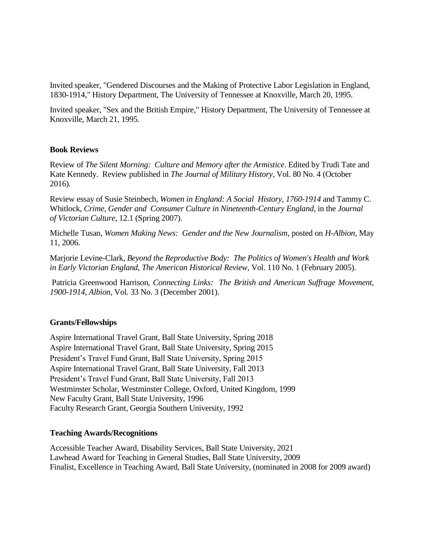Invited speaker, "Gendered Discourses and the Making of Protective Labor Legislation in England, 1830-1914," History Department, The University of Tennessee at Knoxville, March 20, 1995.

Invited speaker, "Sex and the British Empire," History Department, The University of Tennessee at Knoxville, March 21, 1995.

### **Book Reviews**

Review of *The Silent Morning: Culture and Memory after the Armistice*. Edited by Trudi Tate and Kate Kennedy. Review published in *The Journal of Military History*, Vol. 80 No. 4 (October 2016).

Review essay of Susie Steinbech, *Women in England: A Social History, 1760-1914* and Tammy C. Whitlock, *Crime, Gender and Consumer Culture in Nineteenth-Century England*, in the *Journal of Victorian Culture*, 12.1 (Spring 2007).

Michelle Tusan, *Women Making News: Gender and the New Journalism*, posted on *H-Albion*, May 11, 2006.

Marjorie Levine-Clark, *Beyond the Reproductive Body: The Politics of Women's Health and Work in Early Victorian England*, *The American Historical Review*, Vol. 110 No. 1 (February 2005).

Patricia Greenwood Harrison, *Connecting Links: The British and American Suffrage Movement, 1900-1914*, *Albion*, Vol. 33 No. 3 (December 2001).

### **Grants/Fellowships**

Aspire International Travel Grant, Ball State University, Spring 2018 Aspire International Travel Grant, Ball State University, Spring 2015 President's Travel Fund Grant, Ball State University, Spring 2015 Aspire International Travel Grant, Ball State University, Fall 2013 President's Travel Fund Grant, Ball State University, Fall 2013 Westminster Scholar, Westminster College, Oxford, United Kingdom, 1999 New Faculty Grant, Ball State University, 1996 Faculty Research Grant, Georgia Southern University, 1992

### **Teaching Awards/Recognitions**

Accessible Teacher Award, Disability Services, Ball State University, 2021 Lawhead Award for Teaching in General Studies, Ball State University, 2009 Finalist, Excellence in Teaching Award, Ball State University, (nominated in 2008 for 2009 award)